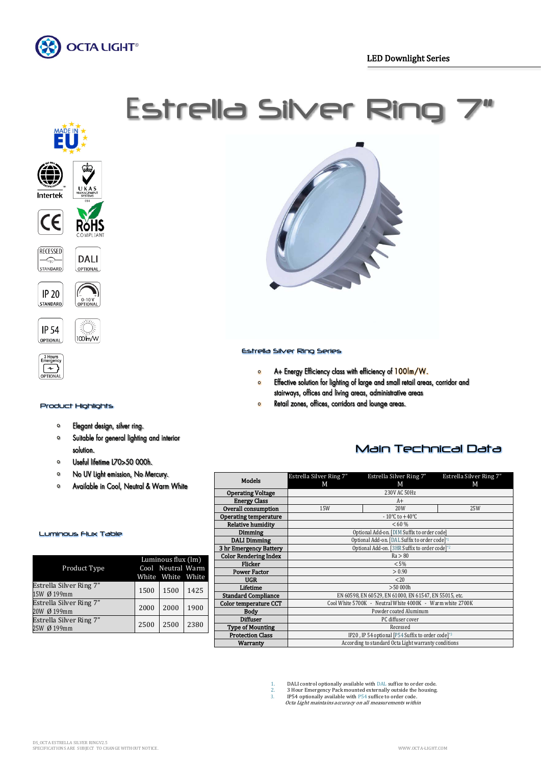















## Product Highlights

- Elegant design, silver ring.  $\bullet$
- Suitable for general lighting and interior  $\mathbf{o}$ solution.
- Useful lifetime L70>50 000h.  $\bullet$
- $\mathbf{o}$ No UV Light emission, No Mercury.
- $\bullet$ Available in Cool, Neutral & Warm White



## Estrella Silver Ring Series

- A+ Energy Efficiency class with efficiency of 100lm/W.  $\bullet$
- Effective solution for lighting of large and small retail areas, corridor and  $\bullet$ stairways, offices and living areas, administrative areas
- Retail zones, offices, corridors and lounge areas.  $\circ$

# Main Technical Data

|                              | Estrella Silver Ring 7"                                   | Estrella Silver Ring 7"            | Estrella Silver Ring 7" |  |  |  |  |
|------------------------------|-----------------------------------------------------------|------------------------------------|-------------------------|--|--|--|--|
| <b>Models</b>                | М                                                         | М                                  | М                       |  |  |  |  |
| <b>Operating Voltage</b>     | 230V AC 50Hz                                              |                                    |                         |  |  |  |  |
| <b>Energy Class</b>          |                                                           | $A+$                               |                         |  |  |  |  |
| Overall consumption          | 15W                                                       | 20W                                | 25W                     |  |  |  |  |
| <b>Operating temperature</b> |                                                           | $-10^{\circ}$ C to $+40^{\circ}$ C |                         |  |  |  |  |
| <b>Relative humidity</b>     |                                                           | < 60 %                             |                         |  |  |  |  |
| <b>Dimming</b>               | Optional Add-on. [DIM Suffix to order code]               |                                    |                         |  |  |  |  |
| <b>DALI Dimming</b>          | Optional Add-on. [DAL Suffix to order code] <sup>*1</sup> |                                    |                         |  |  |  |  |
| 3 hr Emergency Battery       | Optional Add-on. [3HR Suffix to order code]*2             |                                    |                         |  |  |  |  |
| <b>Color Rendering Index</b> | Ra > 80                                                   |                                    |                         |  |  |  |  |
| <b>Flicker</b>               | < 5%                                                      |                                    |                         |  |  |  |  |
| <b>Power Factor</b>          | > 0.90                                                    |                                    |                         |  |  |  |  |
| <b>UGR</b>                   | <20                                                       |                                    |                         |  |  |  |  |
| Lifetime                     | >50000h                                                   |                                    |                         |  |  |  |  |
| <b>Standard Compliance</b>   | EN 60598, EN 60529, EN 61000, EN 61547, EN 55015, etc.    |                                    |                         |  |  |  |  |
| Color temperature CCT        | Cool White 5700K - Neutral White 4000K - Warm white 2700K |                                    |                         |  |  |  |  |
| Body                         | Powder coated Aluminum                                    |                                    |                         |  |  |  |  |
| <b>Diffuser</b>              | PC diffuser cover                                         |                                    |                         |  |  |  |  |
| <b>Type of Mounting</b>      | Recessed                                                  |                                    |                         |  |  |  |  |
| <b>Protection Class</b>      | IP20, IP 54 optional [P54 Suffix to order code]*3         |                                    |                         |  |  |  |  |
| <b>Warranty</b>              | According to standard Octa Light warranty conditions      |                                    |                         |  |  |  |  |

Luminous Flux Table

|                                | Luminous flux (lm) |                   |      |
|--------------------------------|--------------------|-------------------|------|
| Product Type                   |                    | Cool Neutral Warm |      |
|                                |                    | White White White |      |
| Estrella Silver Ring 7"        | 1500               | 1500              | 1425 |
| 15W Ø 199mm                    |                    |                   |      |
| <b>Estrella Silver Ring 7"</b> | 2000               | 2000              | 1900 |
| 20W Ø 199mm                    |                    |                   |      |
| Estrella Silver Ring 7"        |                    |                   |      |
| 25W Ø 199mm                    | 2500               | 2500              | 2380 |
|                                |                    |                   |      |

1. DALI control optionally available with DAL suffice to order code. 2. 3 Hour Emergency Pack mounted externally outside the housing.

3. IP54 optionally available with P54 suffice to order code. Octa Light maintains accuracy on all measurements within